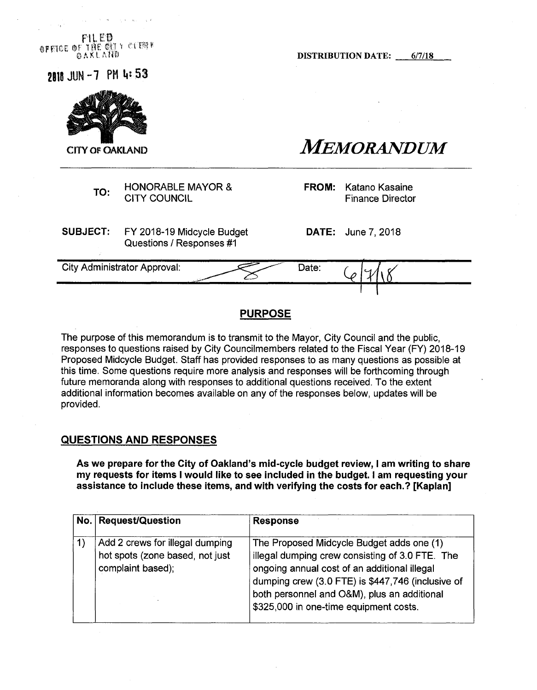pit PH ®ffT&E ®f; THE'crn *tm\** 0AKI.ANO

DISTRIBUTION DATE: 6/7/18

**2111JUN-7 PHI."53**



**CITY OF OAKLAND FEET CONSUMPLE AND ALSO MEMORANDUM** 

HONORABLE MAYOR & CITY COUNCIL TO: CITY COUNCIL WATCR & TROW, Ratario Nasalite<br>CITY COUNCIL Finance Director

**SUBJECT:** FY 2018-19 Midcycle Budget Questions / Responses #1

**DATE:** June 7, 2018

**FROM:** Katano Kasaine

City Administrator Approval: Date:

# **PURPOSE**

The purpose of this memorandum is to transmit to the Mayor, City Council and the public, responses to questions raised by City Councilmembers related to the Fiscal Year (FY) 2018-19 Proposed Midcycle Budget. Staff has provided responses to as many questions as possible at this time. Some questions require more analysis and responses will be forthcoming through future memoranda along with responses to additional questions received. To the extent additional information becomes available on any of the responses below, updates will be provided.

# **QUESTIONS AND RESPONSES**

**As we prepare for the City of Oakland's mid-cycle budget review, <sup>I</sup> am writing to share my requests for items <sup>I</sup> would like to see included in the budget. <sup>I</sup> am requesting your assistance to include these items, and with verifying the costs for each.? [Kaplan]**

| No.   Request/Question                                                                  | <b>Response</b>                                                                                                                                                                                                                                                                            |
|-----------------------------------------------------------------------------------------|--------------------------------------------------------------------------------------------------------------------------------------------------------------------------------------------------------------------------------------------------------------------------------------------|
| Add 2 crews for illegal dumping<br>hot spots (zone based, not just<br>complaint based); | The Proposed Midcycle Budget adds one (1)<br>illegal dumping crew consisting of 3.0 FTE. The<br>ongoing annual cost of an additional illegal<br>dumping crew (3.0 FTE) is \$447,746 (inclusive of<br>both personnel and O&M), plus an additional<br>\$325,000 in one-time equipment costs. |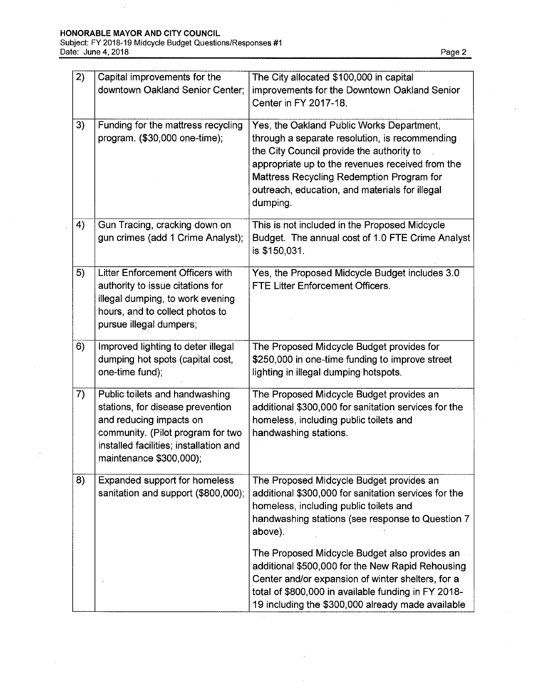$\bar{z}$ 

 $\frac{1}{2}$ 

| $\overline{2}$ ) | Capital improvements for the                                                                                                                                                                            | The City allocated \$100,000 in capital                                                                                                                                                                                                                                                                 |
|------------------|---------------------------------------------------------------------------------------------------------------------------------------------------------------------------------------------------------|---------------------------------------------------------------------------------------------------------------------------------------------------------------------------------------------------------------------------------------------------------------------------------------------------------|
|                  | downtown Oakland Senior Center;                                                                                                                                                                         | improvements for the Downtown Oakland Senior<br>Center in FY 2017-18.                                                                                                                                                                                                                                   |
| 3)               | Funding for the mattress recycling<br>program. (\$30,000 one-time);                                                                                                                                     | Yes, the Oakland Public Works Department,<br>through a separate resolution, is recommending<br>the City Council provide the authority to<br>appropriate up to the revenues received from the<br>Mattress Recycling Redemption Program for<br>outreach, education, and materials for illegal<br>dumping. |
| 4)               | Gun Tracing, cracking down on<br>gun crimes (add 1 Crime Analyst);                                                                                                                                      | This is not included in the Proposed Midcycle<br>Budget. The annual cost of 1.0 FTE Crime Analyst<br>is \$150,031.                                                                                                                                                                                      |
| 5)               | Litter Enforcement Officers with<br>authority to issue citations for<br>illegal dumping, to work evening<br>hours, and to collect photos to<br>pursue illegal dumpers;                                  | Yes, the Proposed Midcycle Budget includes 3.0<br><b>FTE Litter Enforcement Officers.</b>                                                                                                                                                                                                               |
| 6)               | Improved lighting to deter illegal<br>dumping hot spots (capital cost,<br>one-time fund);                                                                                                               | The Proposed Midcycle Budget provides for<br>\$250,000 in one-time funding to improve street<br>lighting in illegal dumping hotspots.                                                                                                                                                                   |
| 7)               | Public toilets and handwashing<br>stations, for disease prevention<br>and reducing impacts on<br>community. (Pilot program for two<br>installed facilities; installation and<br>maintenance \$300,000); | The Proposed Midcycle Budget provides an<br>additional \$300,000 for sanitation services for the<br>homeless, including public toilets and<br>handwashing stations.                                                                                                                                     |
| 8)               | Expanded support for homeless<br>sanitation and support (\$800,000);                                                                                                                                    | The Proposed Midcycle Budget provides an<br>additional \$300,000 for sanitation services for the<br>homeless, including public toilets and<br>handwashing stations (see response to Question 7<br>above).                                                                                               |
|                  |                                                                                                                                                                                                         | The Proposed Midcycle Budget also provides an<br>additional \$500,000 for the New Rapid Rehousing<br>Center and/or expansion of winter shelters, for a<br>total of \$800,000 in available funding in FY 2018-<br>19 including the \$300,000 already made available                                      |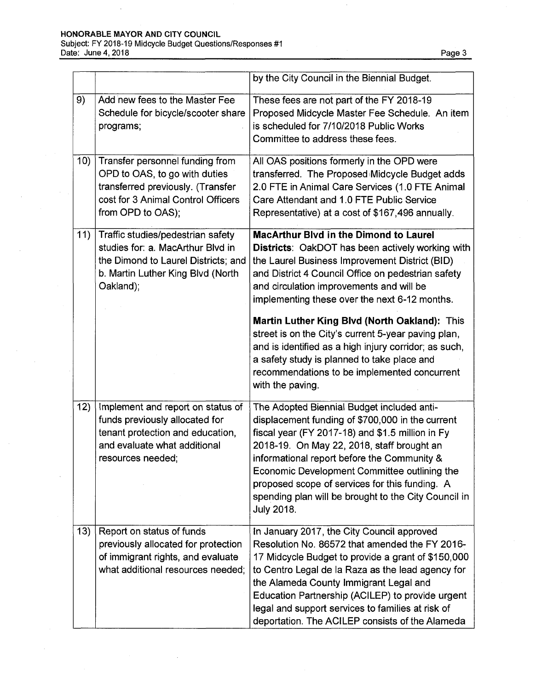# HONORABLE MAYOR AND CITY COUNCIL

Subject: FY 2018-19 Midcycle Budget Questions/Responses #1 Date: June 4, 2018 Page 3 Page 3 Page 3 Page 3 Page 3 Page 3 Page 3 Page 3 Page 3 Page 3 Page 3 Page 3 Page 3

|     |                                                                                                                                                                  | by the City Council in the Biennial Budget.                                                                                                                                                                                                                                                                                                                                                                                    |
|-----|------------------------------------------------------------------------------------------------------------------------------------------------------------------|--------------------------------------------------------------------------------------------------------------------------------------------------------------------------------------------------------------------------------------------------------------------------------------------------------------------------------------------------------------------------------------------------------------------------------|
| 9)  | Add new fees to the Master Fee<br>Schedule for bicycle/scooter share<br>programs;                                                                                | These fees are not part of the FY 2018-19<br>Proposed Midcycle Master Fee Schedule. An item<br>is scheduled for 7/10/2018 Public Works<br>Committee to address these fees.                                                                                                                                                                                                                                                     |
| 10) | Transfer personnel funding from<br>OPD to OAS, to go with duties<br>transferred previously. (Transfer<br>cost for 3 Animal Control Officers<br>from OPD to OAS); | All OAS positions formerly in the OPD were<br>transferred. The Proposed Midcycle Budget adds<br>2.0 FTE in Animal Care Services (1.0 FTE Animal<br>Care Attendant and 1.0 FTE Public Service<br>Representative) at a cost of \$167,496 annually.                                                                                                                                                                               |
| 11) | Traffic studies/pedestrian safety<br>studies for: a. MacArthur Blvd in<br>the Dimond to Laurel Districts; and<br>b. Martin Luther King Blvd (North<br>Oakland);  | <b>MacArthur Blyd in the Dimond to Laurel</b><br>Districts: OakDOT has been actively working with<br>the Laurel Business Improvement District (BID)<br>and District 4 Council Office on pedestrian safety<br>and circulation improvements and will be<br>implementing these over the next 6-12 months.                                                                                                                         |
|     |                                                                                                                                                                  | Martin Luther King Blvd (North Oakland): This<br>street is on the City's current 5-year paving plan,<br>and is identified as a high injury corridor; as such,<br>a safety study is planned to take place and<br>recommendations to be implemented concurrent<br>with the paving.                                                                                                                                               |
| 12) | Implement and report on status of<br>funds previously allocated for<br>tenant protection and education,<br>and evaluate what additional<br>resources needed;     | The Adopted Biennial Budget included anti-<br>displacement funding of \$700,000 in the current<br>fiscal year (FY 2017-18) and \$1.5 million in Fy<br>2018-19. On May 22, 2018, staff brought an<br>informational report before the Community &<br>Economic Development Committee outlining the<br>proposed scope of services for this funding. A<br>spending plan will be brought to the City Council in<br><b>July 2018.</b> |
| 13) | Report on status of funds<br>previously allocated for protection<br>of immigrant rights, and evaluate<br>what additional resources needed;                       | In January 2017, the City Council approved<br>Resolution No. 86572 that amended the FY 2016-<br>17 Midcycle Budget to provide a grant of \$150,000<br>to Centro Legal de la Raza as the lead agency for<br>the Alameda County Immigrant Legal and<br>Education Partnership (ACILEP) to provide urgent<br>legal and support services to families at risk of<br>deportation. The ACILEP consists of the Alameda                  |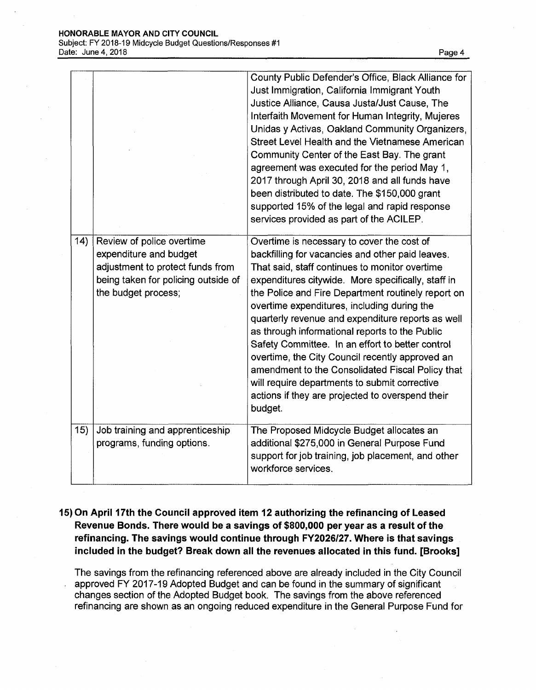|     |                                                                                                                                                       | County Public Defender's Office, Black Alliance for<br>Just Immigration, California Immigrant Youth<br>Justice Alliance, Causa Justa/Just Cause, The<br>Interfaith Movement for Human Integrity, Mujeres<br>Unidas y Activas, Oakland Community Organizers,<br>Street Level Health and the Vietnamese American<br>Community Center of the East Bay. The grant<br>agreement was executed for the period May 1,<br>2017 through April 30, 2018 and all funds have<br>been distributed to date. The \$150,000 grant<br>supported 15% of the legal and rapid response<br>services provided as part of the ACILEP.                                                                                 |
|-----|-------------------------------------------------------------------------------------------------------------------------------------------------------|-----------------------------------------------------------------------------------------------------------------------------------------------------------------------------------------------------------------------------------------------------------------------------------------------------------------------------------------------------------------------------------------------------------------------------------------------------------------------------------------------------------------------------------------------------------------------------------------------------------------------------------------------------------------------------------------------|
| 14) | Review of police overtime<br>expenditure and budget<br>adjustment to protect funds from<br>being taken for policing outside of<br>the budget process; | Overtime is necessary to cover the cost of<br>backfilling for vacancies and other paid leaves.<br>That said, staff continues to monitor overtime<br>expenditures citywide. More specifically, staff in<br>the Police and Fire Department routinely report on<br>overtime expenditures, including during the<br>quarterly revenue and expenditure reports as well<br>as through informational reports to the Public<br>Safety Committee. In an effort to better control<br>overtime, the City Council recently approved an<br>amendment to the Consolidated Fiscal Policy that<br>will require departments to submit corrective<br>actions if they are projected to overspend their<br>budget. |
| 15) | Job training and apprenticeship<br>programs, funding options.                                                                                         | The Proposed Midcycle Budget allocates an<br>additional \$275,000 in General Purpose Fund<br>support for job training, job placement, and other<br>workforce services.                                                                                                                                                                                                                                                                                                                                                                                                                                                                                                                        |

**15) On April 17th the Council approved item 12 authorizing the refinancing of Leased Revenue Bonds. There would be a savings of \$800,000 per year as a result of the refinancing. The savings would continue through FY2026/27. Where is that savings included in the budget? Break down all the revenues allocated in this fund. [Brooks]**

The savings from the refinancing referenced above are already included in the City Council approved FY 2017-19 Adopted Budget and can be found in the summary of significant changes section of the Adopted Budget book. The savings from the above referenced refinancing are shown as an ongoing reduced expenditure in the General Purpose Fund for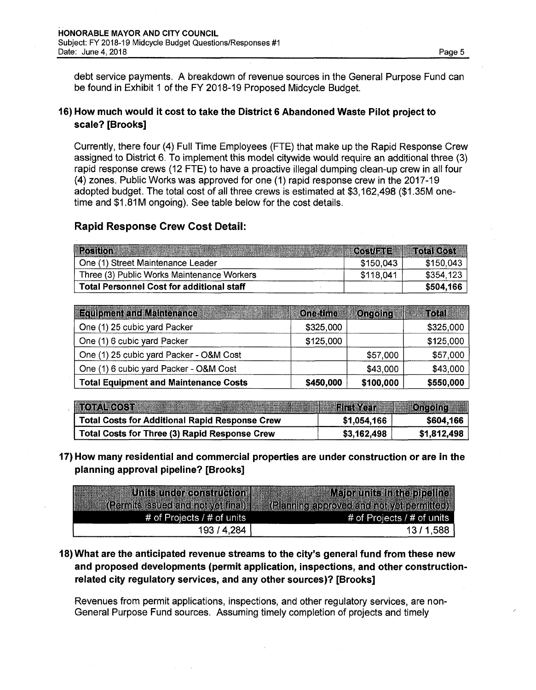debt service payments. A breakdown of revenue sources in the General Purpose Fund can be found in Exhibit <sup>1</sup> of the FY 2018-19 Proposed Midcycle Budget.

## **16) How much would it cost to take the District 6 Abandoned Waste Pilot project to scale? [Brooks]**

Currently, there four (4) Full Time Employees (FTE) that make up the Rapid Response Crew assigned to District 6. To implement this model citywide would require an additional three (3) rapid response crews (12 FTE) to have a proactive illegal dumping clean-up crew in all four (4) zones. Public Works was approved for one (1) rapid response crew in the 2017-19 adopted budget. The total cost of all three crews is estimated at \$3,162,498 (\$1.35M onetime and \$1.81M ongoing). See table below for the cost details.

### **Rapid Response Crew Cost Detail:**

| <b>Position</b>                                  |           | Cost/FTE Total Cost |
|--------------------------------------------------|-----------|---------------------|
| One (1) Street Maintenance Leader                | \$150,043 | \$150,043           |
| Three (3) Public Works Maintenance Workers       | \$118,041 | \$354,123           |
| <b>Total Personnel Cost for additional staff</b> |           | \$504,166           |

| <b>Equipment and Maintenance Address and State</b> | <b>Cne-time</b> | <b>Ongoing</b> | <b>Total</b> |
|----------------------------------------------------|-----------------|----------------|--------------|
| One (1) 25 cubic yard Packer                       | \$325,000       |                | \$325,000    |
| One (1) 6 cubic yard Packer                        | \$125,000       |                | \$125,000    |
| One (1) 25 cubic yard Packer - O&M Cost            |                 | \$57,000       | \$57,000     |
| One (1) 6 cubic yard Packer - O&M Cost             |                 | \$43,000       | \$43,000     |
| <b>Total Equipment and Maintenance Costs</b>       | \$450,000       | \$100,000      | \$550,000    |

| 10011005112                                          | <b>Eirst Year Att Cngoing</b> |             |
|------------------------------------------------------|-------------------------------|-------------|
| Total Costs for Additional Rapid Response Crew       | \$1,054,166                   | \$604,166   |
| <b>Total Costs for Three (3) Rapid Response Crew</b> | \$3,162,498                   | \$1,812,498 |

**17) How many residential and commercial properties are under construction or are in the planning approval pipeline? [Brooks]**

| Units under construction                  | Major units in the pipeline               |
|-------------------------------------------|-------------------------------------------|
| <b>(Permits issued and not yet final)</b> | (Planning approved and not vet permitted) |
| # of Projects $/$ # of units              | # of Projects / # of units                |
| 193 / 4,284                               | 13/1,588                                  |

**18) What are the anticipated revenue streams to the city's general fund from these new and proposed developments (permit application, inspections, and other constructionrelated city regulatory services, and any other sources)? [Brooks]**

Revenues from permit applications, inspections, and other regulatory services, are non-General Purpose Fund sources. Assuming timely completion of projects and timely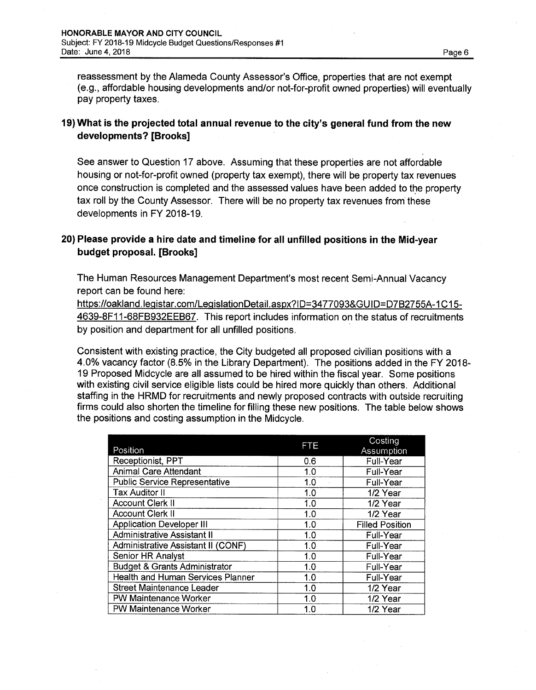reassessment by the Alameda County Assessor's Office, properties that are not exempt (e.g., affordable housing developments and/or not-for-profit owned properties) will eventually pay property taxes.

### **19) What is the projected total annual revenue to the city's general fund from the new developments? [Brooks]**

See answer to Question 17 above. Assuming that these properties are not affordable housing or not-for-profit owned (property tax exempt), there will be property tax revenues once construction is completed and the assessed values have been added to the property tax roll by the County Assessor. There will be no property tax revenues from these developments in FY 2018-19.

## **20) Please provide a hire date and timeline for all unfilled positions in the Mid-year budget proposal. [Brooks]**

The Human Resources Management Department's most recent Semi-Annual Vacancy report can be found here:

[https://oakland.leqistar.com/LeqislationDetail.aspx?ID=3477093&GUID=D7B2755A-1C15-](https://oakland.leqistar.com/LeqislationDetail.aspx?ID=3477093&GUID=D7B2755A-1C15-4639-8F11-68FB932EEB67) [4639-8F11-68FB932EEB67](https://oakland.leqistar.com/LeqislationDetail.aspx?ID=3477093&GUID=D7B2755A-1C15-4639-8F11-68FB932EEB67). This report includes information on the status of recruitments by position and department for all unfilled positions.

Consistent with existing practice, the City budgeted all proposed civilian positions with a 4.0% vacancy factor (8.5% in the Library Department). The positions added in the FY 2018- 19 Proposed Midcycle are all assumed to be hired within the fiscal year. Some positions with existing civil service eligible lists could be hired more quickly than others. Additional staffing in the HRMD for recruitments and newly proposed contracts with outside recruiting firms could also shorten the timeline for filling these new positions. The table below shows the positions and costing assumption in the Midcycle.

|                                           | <b>FTE</b> | Costing                |  |  |
|-------------------------------------------|------------|------------------------|--|--|
| Position                                  |            | Assumption             |  |  |
| Receptionist, PPT                         | 0.6        | <b>Full-Year</b>       |  |  |
| <b>Animal Care Attendant</b>              | 1.0        | <b>Full-Year</b>       |  |  |
| <b>Public Service Representative</b>      | 1.0        | <b>Full-Year</b>       |  |  |
| <b>Tax Auditor II</b>                     | 1.0        | 1/2 Year               |  |  |
| <b>Account Clerk II</b>                   | 1.0        | 1/2 Year               |  |  |
| <b>Account Clerk II</b>                   | 1.0        | 1/2 Year               |  |  |
| <b>Application Developer III</b>          | 1.0        | <b>Filled Position</b> |  |  |
| Administrative Assistant II               | 1.0        | Full-Year              |  |  |
| <b>Administrative Assistant II (CONF)</b> | 1.0        | Full-Year              |  |  |
| Senior HR Analyst                         | 1.0        | <b>Full-Year</b>       |  |  |
| <b>Budget &amp; Grants Administrator</b>  | 1.0        | Full-Year              |  |  |
| Health and Human Services Planner         | 1.0        | Full-Year              |  |  |
| <b>Street Maintenance Leader</b>          | 1.0        | 1/2 Year               |  |  |
| PW Maintenance Worker                     | 1.0        | 1/2 Year               |  |  |
| <b>PW Maintenance Worker</b>              | 1.0        | 1/2 Year               |  |  |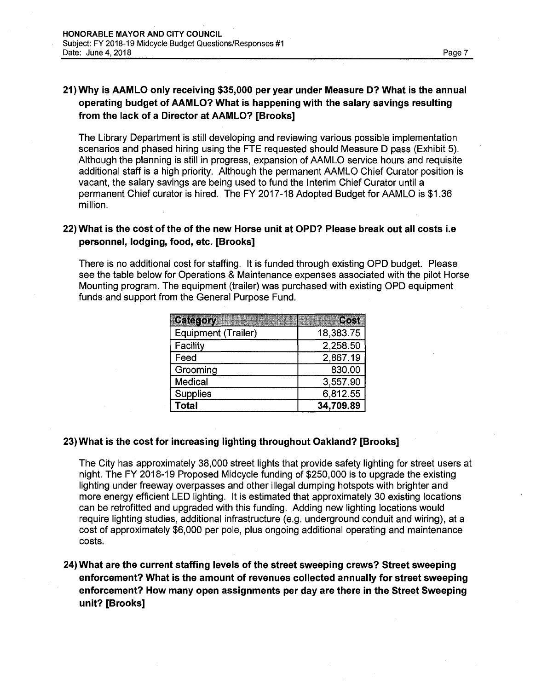# **21) Why is AAMLO only receiving \$35,000 per year under Measure D? What is the annual operating budget of AAMLO? What is happening with the salary savings resulting from the lack of a Director at AAMLO? [Brooks]**

The Library Department is still developing and reviewing various possible implementation scenarios and phased hiring using the FTE requested should Measure D pass (Exhibit 5). Although the planning is still in progress, expansion of AAMLO service hours and requisite additional staff is a high priority. Although the permanent AAMLO Chief Curator position is vacant, the salary savings are being used to fund the Interim Chief Curator until a permanent Chief curator is hired. The FY 2017-18 Adopted Budget for AAMLO is \$1.36 million.

## 22) What is the cost of the of the new Horse unit at OPD? Please break out all costs i.e **personnel, lodging, food, etc. [Brooks]**

There is no additional cost for staffing. It is funded through existing OPD budget. Please see the table below for Operations & Maintenance expenses associated with the pilot Horse Mounting program. The equipment (trailer) was purchased with existing OPD equipment funds and support from the General Purpose Fund.

| Category<br>ang par | Cost      |
|---------------------|-----------|
| Equipment (Trailer) | 18,383.75 |
| Facility            | 2,258.50  |
| Feed                | 2,867.19  |
| Grooming            | 830.00    |
| Medical             | 3,557.90  |
| <b>Supplies</b>     | 6,812.55  |
| <b>Total</b>        | 34,709.89 |

### **23) What is the cost for increasing lighting throughout Oakland? [Brooks]**

The City has approximately 38,000 street lights that provide safety lighting for street users at night. The FY 2018-19 Proposed Midcycle funding of \$250,000 is to upgrade the existing lighting under freeway overpasses and other illegal dumping hotspots with brighter and more energy efficient LED lighting. It is estimated that approximately 30 existing locations can be retrofitted and upgraded with this funding. Adding new lighting locations would require lighting studies, additional infrastructure (e.g. underground conduit and wiring), at a cost of approximately \$6,000 per pole, plus ongoing additional operating and maintenance costs.

24) What are the current staffing levels of the street sweeping crews? Street sweeping enforcement? What is the amount of revenues collected annually forstreet sweeping enforcement? How many open assignments per day are there in the Street Sweeping unit? [Brooks]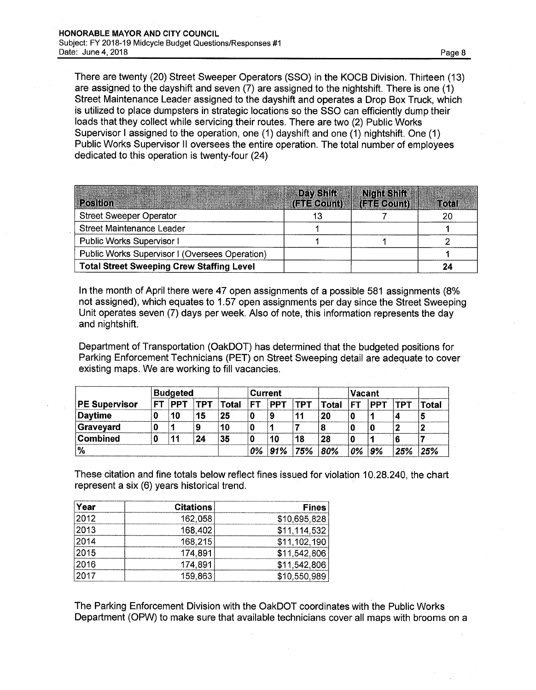There are twenty (20) Street Sweeper Operators (SSO) in the KOCB Division. Thirteen (13) are assigned to the dayshift and seven (7) are assigned to the nightshift. There is one (1) Street Maintenance Leader assigned to the dayshift and operates a Drop Box Truck, which is utilized to place dumpsters in strategic locations so the SSO can efficiently dump their loads that they collect while servicing their routes. There are two (2) Public Works Supervisor <sup>I</sup> assigned to the operation, one (1) dayshift and one (1) nightshift. One (1) Public Works Supervisor II oversees the entire operation. The total number of employees dedicated to this operation is twenty-four (24)

| <b>Position</b>                                  | Day Shift | Night Shift<br>(FIFRequa)   (FIFECount)   FIFTI (612) |  |
|--------------------------------------------------|-----------|-------------------------------------------------------|--|
| <b>Street Sweeper Operator</b>                   |           |                                                       |  |
| Street Maintenance Leader                        |           |                                                       |  |
| Public Works Supervisor I                        |           |                                                       |  |
| Public Works Supervisor I (Oversees Operation)   |           |                                                       |  |
| <b>Total Street Sweeping Crew Staffing Level</b> |           |                                                       |  |

In the month of April there were 47 open assignments of a possible 581 assignments (8% not assigned), which equates to 1.57 open assignments per day since the Street Sweeping Unit operates seven (7) days per week. Also of note, this information represents the day and nightshift.

Department of Transportation (OakDOT) has determined that the budgeted positions for Parking Enforcement Technicians (PET) on Street Sweeping detail are adequate to cover existing maps. We are working to fill vacancies.

|                      | <b>Budgeted</b> |            |            |              | <b>Current</b> |            |            | Vacant |    |            |            |       |
|----------------------|-----------------|------------|------------|--------------|----------------|------------|------------|--------|----|------------|------------|-------|
| <b>PE Supervisor</b> | FТ              | <b>PPT</b> | <b>TPT</b> | <b>Total</b> | <b>FT</b>      | <b>PPT</b> | <b>TPT</b> | Total  | FТ | <b>PPT</b> | <b>TPT</b> | Total |
| Daytime              |                 | 10         | 15         | 25           |                |            | 11         | 20     |    |            |            |       |
| Graveyard            |                 |            | 9          | 10           |                |            |            |        |    |            | 2          |       |
| Combined             |                 | 11         | 24         | 35           |                | 10         | 18         | 28     |    |            |            |       |
| $\frac{1}{2}$        |                 |            |            |              | 0%             |            | 91% 75%    | 80%    | 0% | '9%        | 25%        | 25%   |

These citation and fine totals below reflect fines issued for violation 10.28.240, the chart represent a six (6) years historical trend.

| Year | <b>Citations</b> | <b>Fines</b> |
|------|------------------|--------------|
| 2012 | 162,058          | \$10,695,828 |
| 2013 | 168,402          | \$11,114,532 |
| 2014 | 168,215          | \$11,102,190 |
| 2015 | 174.891          | \$11,542,806 |
| 2016 | 174,891          | \$11,542,806 |
| 2017 | 159,863          | \$10,550,989 |

The Parking Enforcement Division with the OakDOT coordinates with the Public Works Department (OPW) to make sure that available technicians cover all maps with brooms on a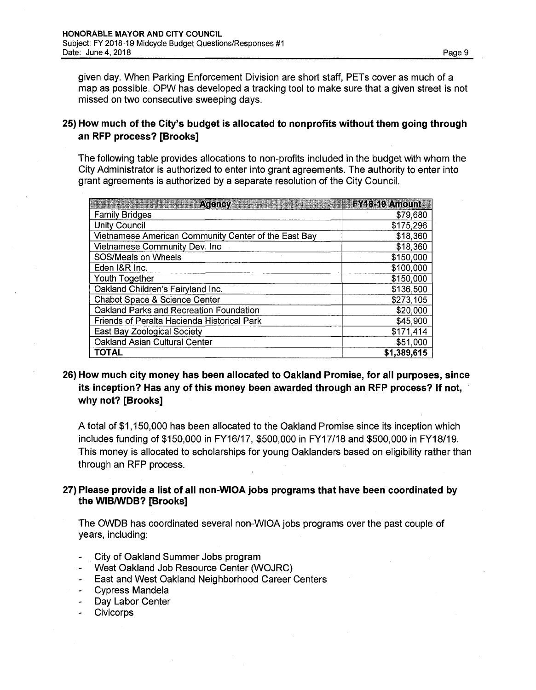given day. When Parking Enforcement Division are short staff, PETs cover as much of a map as possible. OPW has developed a tracking tool to make sure that a given street is not missed on two consecutive sweeping days.

### **25) How much of the City's budget is allocated to nonprofits without them going through an RFP process? [Brooks]**

The following table provides allocations to non-profits included in the budget with whom the City Administrator is authorized to enter into grant agreements. The authority to enter into grant agreements is authorized by a separate resolution of the City Council.

| <b>Agency</b>                                        | FY18-19 Amount |
|------------------------------------------------------|----------------|
| <b>Family Bridges</b>                                | \$79,680       |
| <b>Unity Council</b>                                 | \$175,296      |
| Vietnamese American Community Center of the East Bay | \$18,360       |
| Vietnamese Community Dev. Inc                        | \$18,360       |
| SOS/Meals on Wheels                                  | \$150,000      |
| Eden I&R Inc.                                        | \$100,000      |
| Youth Together                                       | \$150,000      |
| Oakland Children's Fairyland Inc.                    | \$136,500      |
| Chabot Space & Science Center                        | \$273,105      |
| Oakland Parks and Recreation Foundation              | \$20,000       |
| Friends of Peralta Hacienda Historical Park          | \$45,900       |
| East Bay Zoological Society                          | \$171,414      |
| Oakland Asian Cultural Center                        | \$51,000       |
| <b>TOTAL</b>                                         | \$1,389,615    |

**26) How much city money has been allocated to Oakland Promise, for all purposes, since its inception? Has any of this money been awarded through an RFP process? If not, why not? [Brooks]**

A total of \$1,150,000 has been allocated to the Oakland Promise since its inception which includes funding of \$150,000 in FY16/17, \$500,000 in FY17/18 and \$500,000 in FY18/19. This money is allocated to scholarships for young Oaklanders based on eligibility rather than through an RFP process.

### **27) Please provide a list of all non-WlOA jobs programs that have been coordinated by the WIB/WDB? [Brooks]**

The OWDB has coordinated several non-WlOA jobs programs over the past couple of years, including:

- City of Oakland Summer Jobs program
- West Oakland Job Resource Center (WOJRC)  $\sim$
- East and West Oakland Neighborhood Career Centers
- Cypress Mandela
- Day Labor Center
- **Civicorps**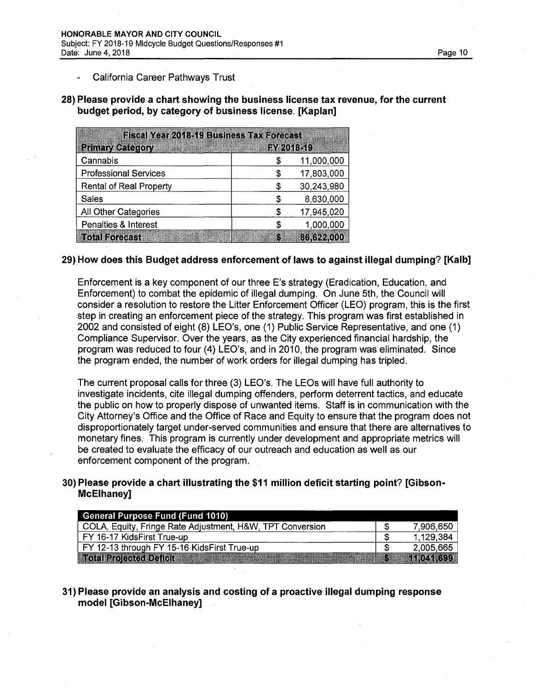#### California Career Pathways Trust

**28) Please provide a chart showing the business license tax revenue, for the current budget period, by category of business license. [Kaplan]**

| <b>Fiscal Year 2018-19 Business Tax Forecast</b> |            |            |  |  |  |
|--------------------------------------------------|------------|------------|--|--|--|
| <b>Primary Category</b>                          | FY 2018-19 |            |  |  |  |
| Cannabis                                         | S          | 11,000,000 |  |  |  |
| <b>Professional Services</b>                     | S          | 17,803,000 |  |  |  |
| <b>Rental of Real Property</b>                   | S          | 30,243,980 |  |  |  |
| <b>Sales</b>                                     | \$         | 8,630,000  |  |  |  |
| All Other Categories                             | S          | 17,945,020 |  |  |  |
| Penalties & Interest                             | S          | 1,000,000  |  |  |  |
| <b>Total Forecast</b>                            | K.         | 86,622,000 |  |  |  |

#### **29) How does this Budget address enforcement of laws to against illegal dumping? [Kalb]**

Enforcement is a key component of our three E's strategy (Eradication, Education, and Enforcement) to combat the epidemic of illegal dumping. On June 5th, the Council will consider a resolution to restore the Litter Enforcement Officer (LEO) program, this is the first step in creating an enforcement piece of the strategy. This program was first established in 2002 and consisted of eight (8) LEO's, one (1) Public Service Representative, and one (1) Compliance Supervisor. Over the years, as the City experienced financial hardship, the program was reduced to four (4) LEO's, and in 2010, the program was eliminated. Since the program ended, the number of work orders for illegal dumping has tripled.

The current proposal calls for three (3) LEO's. The LEOs will have full authority to investigate incidents, cite illegal dumping offenders, perform deterrent tactics, and educate the public on how to properly dispose of unwanted items. Staff is in communication with the City Attorney's Office and the Office of Race and Equity to ensure that the program does not disproportionately target under-served communities and ensure that there are alternatives to monetary fines. This program is currently under development and appropriate metrics will be created to evaluate the efficacy of our outreach and education as well as our enforcement component of the program.

### **30) Please provide a chart illustrating the \$11 million deficit starting point? [Gibson-McElhaney]**

| <b>General Purpose Fund (Fund 1010)</b>                   |             |            |
|-----------------------------------------------------------|-------------|------------|
| COLA, Equity, Fringe Rate Adjustment, H&W, TPT Conversion |             | 7,906,650  |
| l FY 16-17 KidsFirst True-up                              |             | 1,129,384  |
| FY 12-13 through FY 15-16 KidsFirst True-up               |             | 2,005,665  |
| <b>Total Rolected Defield and</b>                         | <b>REAL</b> | 11.041.699 |

### **31) Please provide an analysis and costing of a proactive illegal dumping response model [Gibson-McElhaney]**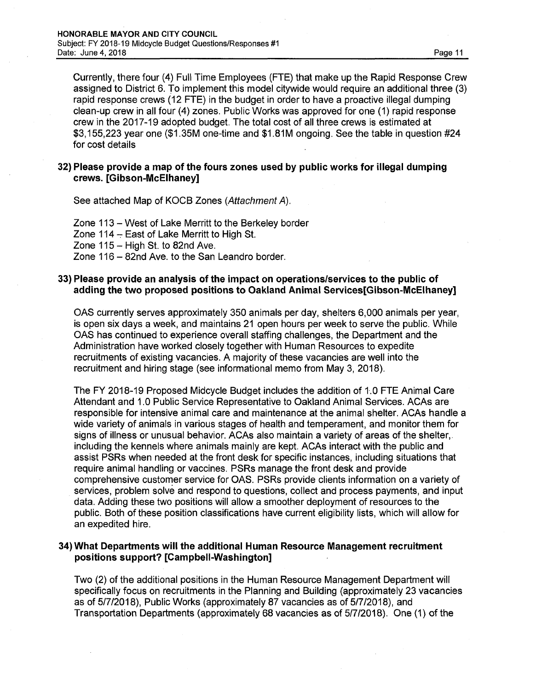Currently, there four (4) Full Time Employees (FTE) that make up the Rapid Response Crew assigned to District 6. To implement this model citywide would require an additional three (3) rapid response crews (12 FTE) in the budget in order to have a proactive illegal dumping clean-up crew in all four (4) zones. Public Works was approved for one (1) rapid response crew in the 2017-19 adopted budget. The total cost of all three crews is estimated at \$3,155,223 year one (\$1.35M one-time and \$1.81M ongoing. See the table in question #24 for cost details

### **32) Please provide a map of the fours zones used by public works for illegal dumping crews. [Gibson-McElhaney]**

See attached Map of KOCB Zones *(Attachment A).*

Zone <sup>113</sup> -West of Lake Merritt to the Berkeley border Zone 114 - East of Lake Merritt to High St. Zone  $115 -$  High St. to 82nd Ave. Zone <sup>116</sup> - 82nd Ave. to the San Leandro border.

#### **33) Please provide an analysis of the impact on operations/services to the public of adding the two proposed positions to Oakland Animal Services[Gibson-McElhaney]**

OAS currently serves approximately 350 animals per day, shelters 6,000 animals per year, is open six days a week, and maintains 21 open hours per week to serve the public. While OAS has continued to experience overall staffing challenges, the Department and the Administration have worked closely together with Human Resources to expedite recruitments of existing vacancies. A majority of these vacancies are well into the recruitment and hiring stage (see informational memo from May 3, 2018).

The FY 2018-19 Proposed Midcycle Budget includes the addition of 1.0 FTE Animal Care Attendant and 1.0 Public Service Representative to Oakland Animal Services. ACAs are responsible for intensive animal care and maintenance at the animal shelter. ACAs handle a wide variety of animals in various stages of health and temperament, and monitor them for signs of illness or unusual behavior. ACAs also maintain a variety of areas of the shelter, including the kennels where animals mainly are kept. ACAs interact with the public and assist PSRs when needed at the front desk for specific instances, including situations that require animal handling or vaccines. PSRs manage the front desk and provide comprehensive customer service for OAS. PSRs provide clients information on a variety of services, problem solve and respond to questions, collect and process payments, and input data. Adding these two positions will allow a smoother deployment of resources to the public. Both of these position classifications have current eligibility lists, which will allow for an expedited hire.

### **34) What Departments will the additional Human Resource Management recruitment positions support? [Campbell-Washington]**

Two (2) of the additional positions in the Human Resource Management Department will specifically focus on recruitments in the Planning and Building (approximately 23 vacancies as of 5/7/2018), Public Works (approximately 87 vacancies as of 5/7/2018), and Transportation Departments (approximately 68 vacancies as of 5/7/2018). One (1) of the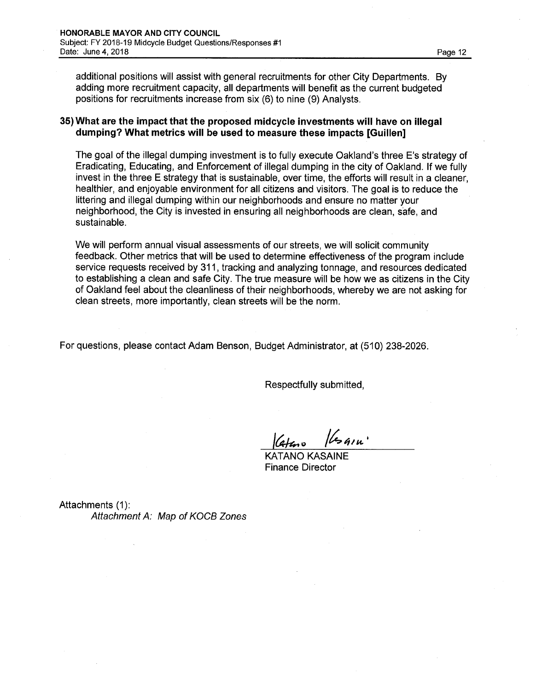additional positions will assist with general recruitments for other City Departments. By adding more recruitment capacity, all departments will benefit as the current budgeted positions for recruitments increase from six (6) to nine (9) Analysts.

#### **35) What are the impact that the proposed midcycle investments will have on illegal dumping? What metrics will be used to measure these impacts [Guillen]**

The goal of the illegal dumping investment is to fully execute Oakland's three E's strategy of Eradicating, Educating, and Enforcement of illegal dumping in the city of Oakland. If we fully invest in the three E strategy that is sustainable, over time, the efforts will result in a cleaner, healthier, and enjoyable environment for all citizens and visitors. The goal is to reduce the littering and illegal dumping within our neighborhoods and ensure no matter your neighborhood, the City is invested in ensuring all neighborhoods are clean, safe, and sustainable.

We will perform annual visual assessments of our streets, we will solicit community feedback. Other metrics that will be used to determine effectiveness of the program include service requests received by 311, tracking and analyzing tonnage, and resources dedicated to establishing a clean and safe City. The true measure will be how we as citizens in the City of Oakland feel about the cleanliness of their neighborhoods, whereby we are not asking for clean streets, more importantly, clean streets will be the norm.

For questions, please contact Adam Benson, Budget Administrator, at (510) 238-2026.

Respectfully submitted,

*4/u.* Cataro

KATANO KASAINE Finance Director

Attachments (1): *Attachment A: Map ofKOCB Zones*